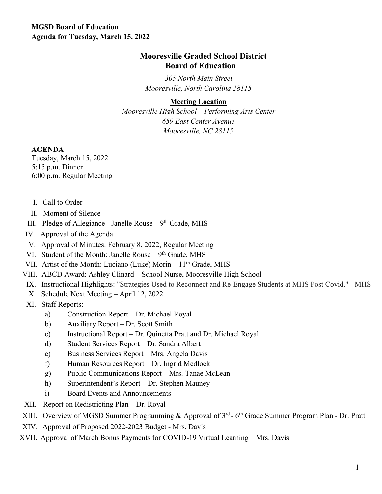## **Mooresville Graded School District Board of Education**

*305 North Main Street Mooresville, North Carolina 28115* 

## **Meeting Location**

*Mooresville High School – Performing Arts Center 659 East Center Avenue Mooresville, NC 28115* 

## **AGENDA**

Tuesday, March 15, 2022 5:15 p.m. Dinner 6:00 p.m. Regular Meeting

- I. Call to Order
- II. Moment of Silence
- III. Pledge of Allegiance Janelle Rouse  $-9<sup>th</sup>$  Grade, MHS
- IV. Approval of the Agenda
- V. Approval of Minutes: February 8, 2022, Regular Meeting
- VI. Student of the Month: Janelle Rouse  $9<sup>th</sup>$  Grade, MHS
- VII. Artist of the Month: Luciano (Luke) Morin  $11<sup>th</sup>$  Grade, MHS
- VIII. ABCD Award: Ashley Clinard School Nurse, Mooresville High School
- IX. Instructional Highlights: "Strategies Used to Reconnect and Re-Engage Students at MHS Post Covid." MHS
- X. Schedule Next Meeting April 12, 2022
- XI. Staff Reports:
	- a) Construction Report Dr. Michael Royal
	- b) Auxiliary Report Dr. Scott Smith
	- c) Instructional Report Dr. Quinetta Pratt and Dr. Michael Royal
	- d) Student Services Report Dr. Sandra Albert
	- e) Business Services Report Mrs. Angela Davis
	- f) Human Resources Report Dr. Ingrid Medlock
	- g) Public Communications Report Mrs. Tanae McLean
	- h) Superintendent's Report Dr. Stephen Mauney
	- i) Board Events and Announcements
- XII. Report on Redistricting Plan Dr. Royal
- XIII. Overview of MGSD Summer Programming & Approval of 3<sup>rd</sup> 6<sup>th</sup> Grade Summer Program Plan Dr. Pratt
- XIV. Approval of Proposed 2022-2023 Budget Mrs. Davis
- XVII. Approval of March Bonus Payments for COVID-19 Virtual Learning Mrs. Davis